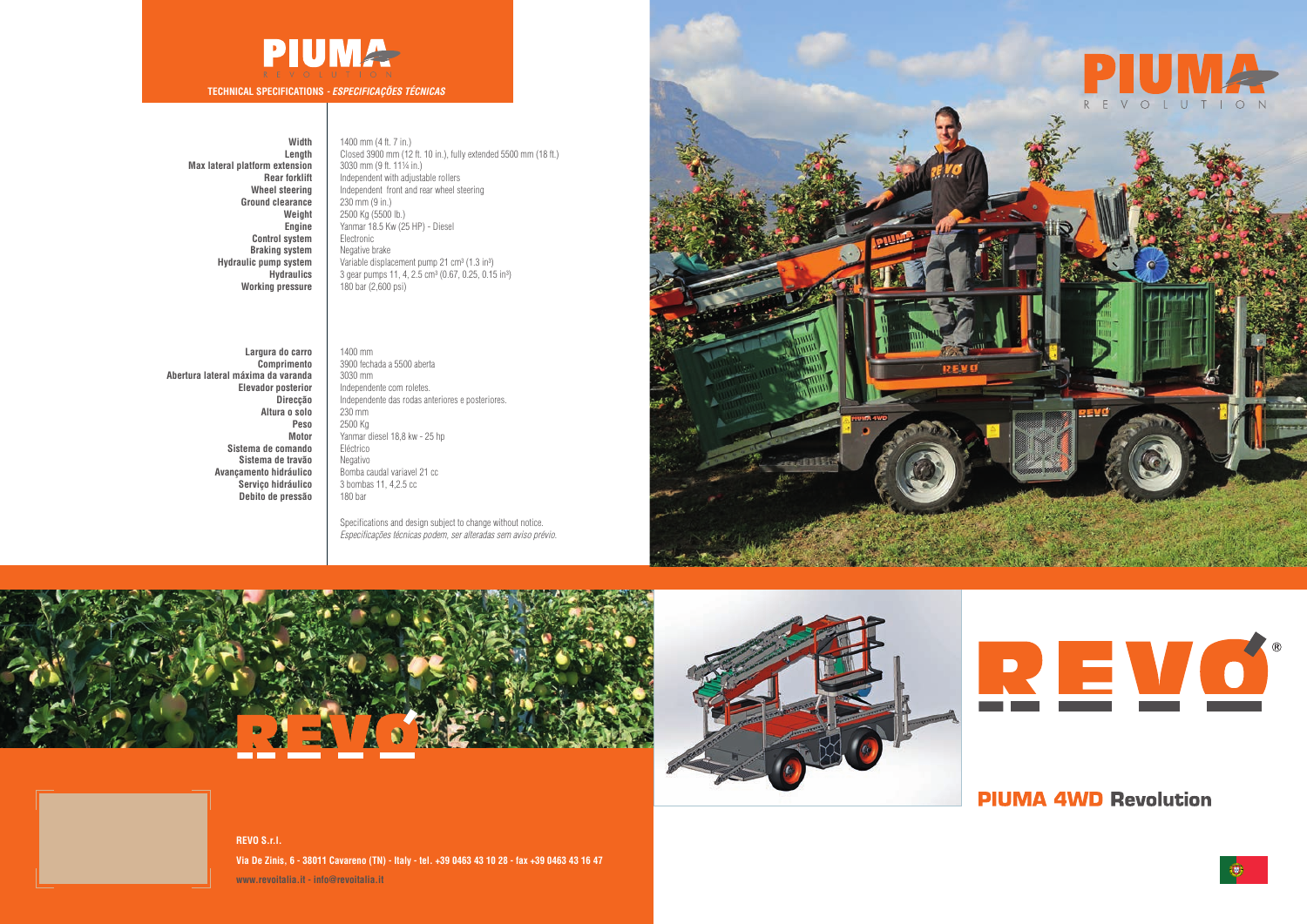### **Width**

**Length Max lateral platform extension Rear forklift Wheel steering Ground clearance Weight Engine Control system Braking system Hydraulic pump system Hydraulics Working pressure**

1400 mm (4 ft. 7 in.) Closed 3900 mm (12 ft. 10 in.), fully extended 5500 mm (18 ft.) 3030 mm (9 ft. 11¼ in.) Independent with adjustable rollers Independent front and rear wheel steering 230 mm (9 in.) 2500 Kg (5500 lb.) Yanmar 18.5 Kw (25 HP) - Diesel Electronic Negative brake Variable displacement pump  $21 \text{ cm}^3 \text{ (1.3 in}^3)$ 3 gear pumps 11, 4, 2.5 cm<sup>3</sup> (0.67, 0.25, 0.15 in<sup>3</sup>) 180 bar (2,600 psi)

Specifications and design subject to change without notice. *Especificações técnicas podem, ser alteradas sem aviso prévio.*







**REVO S.r.l. Via De Zinis, 6 - 38011 Cavareno (TN) - Italy - tel. +39 0463 43 10 28 - fax +39 0463 43 16 47 www.revoitalia.it - info@revoitalia.it**





## **PIUMA 4WD Revolution**



# **PIUMA-**

**TECHNICAL SPECIFICATIONS** *- ESPECIFICAÇÕES TÉCNICAS*

**Largura do carro Comprimento Abertura lateral máxima da varanda Elevador posterior Direcção Altura o solo Peso Motor Sistema de comando Sistema de travão Avançamento hidráulico Serviço hidráulico Debito de pressão**

1400 mm 3900 fechada a 5500 aberta 3030 mm Independente com roletes. Independente das rodas anteriores e posteriores. 230 mm 2500 Kg Yanmar diesel 18,8 kw - 25 hp Eléctrico **Negativo** Bomba caudal variavel 21 cc 3 bombas 11, 4,2.5 cc 180 bar